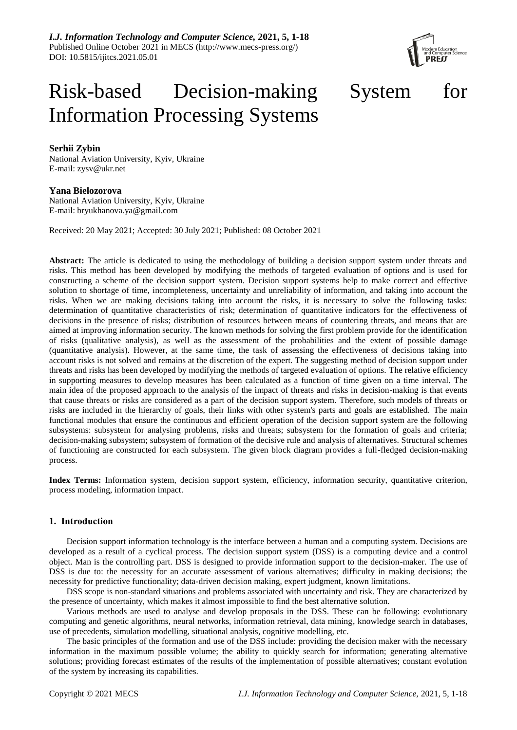*I.J. Information Technology and Computer Science,* **2021, 5, 1-18** Published Online October 2021 in MECS (http://www.mecs-press.org/) DOI: 10.5815/ijitcs.2021.05.01



# Risk-based Decision-making System for Information Processing Systems

# **Serhii Zybin**

National Aviation University, Kyiv, Ukraine E-mail: zysv@ukr.net

# **Yana Bielozorova**

National Aviation University, Kyiv, Ukraine E-mail: bryukhanova.ya@gmail.com

Received: 20 May 2021; Accepted: 30 July 2021; Published: 08 October 2021

**Abstract:** The article is dedicated to using the methodology of building a decision support system under threats and risks. This method has been developed by modifying the methods of targeted evaluation of options and is used for constructing a scheme of the decision support system. Decision support systems help to make correct and effective solution to shortage of time, incompleteness, uncertainty and unreliability of information, and taking into account the risks. When we are making decisions taking into account the risks, it is necessary to solve the following tasks: determination of quantitative characteristics of risk; determination of quantitative indicators for the effectiveness of decisions in the presence of risks; distribution of resources between means of countering threats, and means that are aimed at improving information security. The known methods for solving the first problem provide for the identification of risks (qualitative analysis), as well as the assessment of the probabilities and the extent of possible damage (quantitative analysis). However, at the same time, the task of assessing the effectiveness of decisions taking into account risks is not solved and remains at the discretion of the expert. The suggesting method of decision support under threats and risks has been developed by modifying the methods of targeted evaluation of options. The relative efficiency in supporting measures to develop measures has been calculated as a function of time given on a time interval. The main idea of the proposed approach to the analysis of the impact of threats and risks in decision-making is that events that cause threats or risks are considered as a part of the decision support system. Therefore, such models of threats or risks are included in the hierarchy of goals, their links with other system's parts and goals are established. The main functional modules that ensure the continuous and efficient operation of the decision support system are the following subsystems: subsystem for analysing problems, risks and threats; subsystem for the formation of goals and criteria; decision-making subsystem; subsystem of formation of the decisive rule and analysis of alternatives. Structural schemes of functioning are constructed for each subsystem. The given block diagram provides a full-fledged decision-making process.

**Index Terms:** Information system, decision support system, efficiency, information security, quantitative criterion, process modeling, information impact.

# **1. Introduction**

Decision support information technology is the interface between a human and a computing system. Decisions are developed as a result of a cyclical process. The decision support system (DSS) is a computing device and a control object. Man is the controlling part. DSS is designed to provide information support to the decision-maker. The use of DSS is due to: the necessity for an accurate assessment of various alternatives; difficulty in making decisions; the necessity for predictive functionality; data-driven decision making, expert judgment, known limitations.

DSS scope is non-standard situations and problems associated with uncertainty and risk. They are characterized by the presence of uncertainty, which makes it almost impossible to find the best alternative solution.

Various methods are used to analyse and develop proposals in the DSS. These can be following: evolutionary computing and genetic algorithms, neural networks, information retrieval, data mining, knowledge search in databases, use of precedents, simulation modelling, situational analysis, cognitive modelling, etc.

The basic principles of the formation and use of the DSS include: providing the decision maker with the necessary information in the maximum possible volume; the ability to quickly search for information; generating alternative solutions; providing forecast estimates of the results of the implementation of possible alternatives; constant evolution of the system by increasing its capabilities.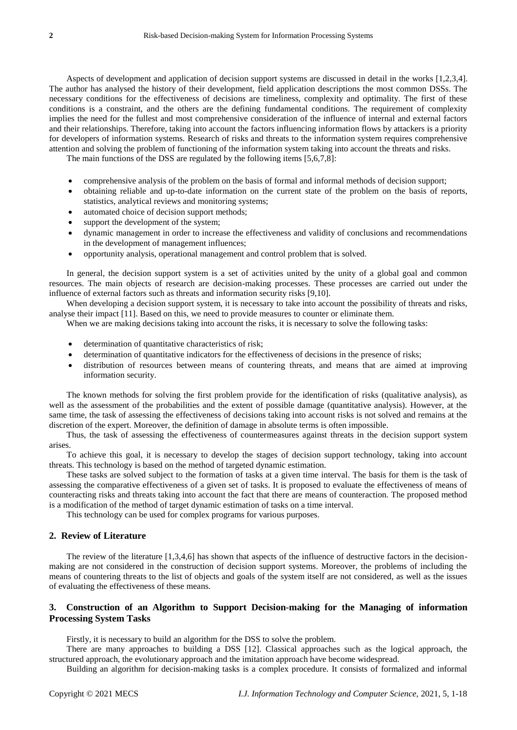Aspects of development and application of decision support systems are discussed in detail in the works [1,2,3,4]. The author has analysed the history of their development, field application descriptions the most common DSSs. The necessary conditions for the effectiveness of decisions are timeliness, complexity and optimality. The first of these conditions is a constraint, and the others are the defining fundamental conditions. The requirement of complexity implies the need for the fullest and most comprehensive consideration of the influence of internal and external factors and their relationships. Therefore, taking into account the factors influencing information flows by attackers is a priority for developers of information systems. Research of risks and threats to the information system requires comprehensive attention and solving the problem of functioning of the information system taking into account the threats and risks.

The main functions of the DSS are regulated by the following items [5,6,7,8]:

- comprehensive analysis of the problem on the basis of formal and informal methods of decision support;
- obtaining reliable and up-to-date information on the current state of the problem on the basis of reports, statistics, analytical reviews and monitoring systems;
- automated choice of decision support methods;
- support the development of the system;
- dynamic management in order to increase the effectiveness and validity of conclusions and recommendations in the development of management influences;
- opportunity analysis, operational management and control problem that is solved.

In general, the decision support system is a set of activities united by the unity of a global goal and common resources. The main objects of research are decision-making processes. These processes are carried out under the influence of external factors such as threats and information security risks [9,10].

When developing a decision support system, it is necessary to take into account the possibility of threats and risks, analyse their impact [11]. Based on this, we need to provide measures to counter or eliminate them.

When we are making decisions taking into account the risks, it is necessary to solve the following tasks:

- determination of quantitative characteristics of risk;
- determination of quantitative indicators for the effectiveness of decisions in the presence of risks;
- distribution of resources between means of countering threats, and means that are aimed at improving information security.

The known methods for solving the first problem provide for the identification of risks (qualitative analysis), as well as the assessment of the probabilities and the extent of possible damage (quantitative analysis). However, at the same time, the task of assessing the effectiveness of decisions taking into account risks is not solved and remains at the discretion of the expert. Moreover, the definition of damage in absolute terms is often impossible.

Thus, the task of assessing the effectiveness of countermeasures against threats in the decision support system arises.

To achieve this goal, it is necessary to develop the stages of decision support technology, taking into account threats. This technology is based on the method of targeted dynamic estimation.

These tasks are solved subject to the formation of tasks at a given time interval. The basis for them is the task of assessing the comparative effectiveness of a given set of tasks. It is proposed to evaluate the effectiveness of means of counteracting risks and threats taking into account the fact that there are means of counteraction. The proposed method is a modification of the method of target dynamic estimation of tasks on a time interval.

This technology can be used for complex programs for various purposes.

# **2. Review of Literature**

The review of the literature [1,3,4,6] has shown that aspects of the influence of destructive factors in the decisionmaking are not considered in the construction of decision support systems. Moreover, the problems of including the means of countering threats to the list of objects and goals of the system itself are not considered, as well as the issues of evaluating the effectiveness of these means.

# **3. Construction of an Algorithm to Support Decision-making for the Managing of information Processing System Tasks**

Firstly, it is necessary to build an algorithm for the DSS to solve the problem.

There are many approaches to building a DSS [12]. Classical approaches such as the logical approach, the structured approach, the evolutionary approach and the imitation approach have become widespread.

Building an algorithm for decision-making tasks is a complex procedure. It consists of formalized and informal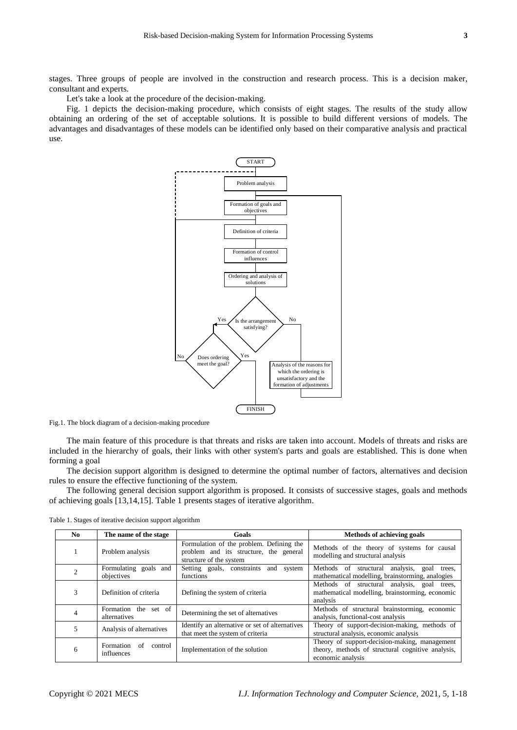stages. Three groups of people are involved in the construction and research process. This is a decision maker, consultant and experts.

Let's take a look at the procedure of the decision-making.

Fig. 1 depicts the decision-making procedure, which consists of eight stages. The results of the study allow obtaining an ordering of the set of acceptable solutions. It is possible to build different versions of models. The advantages and disadvantages of these models can be identified only based on their comparative analysis and practical use.



Fig.1. The block diagram of a decision-making procedure

The main feature of this procedure is that threats and risks are taken into account. Models of threats and risks are included in the hierarchy of goals, their links with other system's parts and goals are established. This is done when forming a goal

The decision support algorithm is designed to determine the optimal number of factors, alternatives and decision rules to ensure the effective functioning of the system.

The following general decision support algorithm is proposed. It consists of successive stages, goals and methods of achieving goals [13,14,15]. Table 1 presents stages of iterative algorithm.

| No.                                                                             | The name of the stage                | Goals                                                                                                                   | <b>Methods of achieving goals</b>                                                                          |
|---------------------------------------------------------------------------------|--------------------------------------|-------------------------------------------------------------------------------------------------------------------------|------------------------------------------------------------------------------------------------------------|
|                                                                                 | Problem analysis                     | Formulation of the problem. Defining the<br>problem and its structure, the general<br>structure of the system           | Methods of the theory of systems for causal<br>modelling and structural analysis                           |
| 2                                                                               | Formulating goals and<br>objectives  | Setting goals, constraints and<br>system<br>functions                                                                   | Methods of structural analysis, goal trees,<br>mathematical modelling, brainstorming, analogies            |
| 3                                                                               | Definition of criteria               | Defining the system of criteria                                                                                         | Methods of structural analysis, goal trees,<br>mathematical modelling, brainstorming, economic<br>analysis |
| $\overline{4}$                                                                  | Formation the set of<br>alternatives | Determining the set of alternatives                                                                                     | Methods of structural brainstorming, economic<br>analysis, functional-cost analysis                        |
| 5                                                                               | Analysis of alternatives             | Identify an alternative or set of alternatives<br>that meet the system of criteria                                      | Theory of support-decision-making, methods of<br>structural analysis, economic analysis                    |
| Formation<br>of<br>control<br>6<br>Implementation of the solution<br>influences |                                      | Theory of support-decision-making, management<br>theory, methods of structural cognitive analysis,<br>economic analysis |                                                                                                            |

Table 1. Stages of iterative decision support algorithm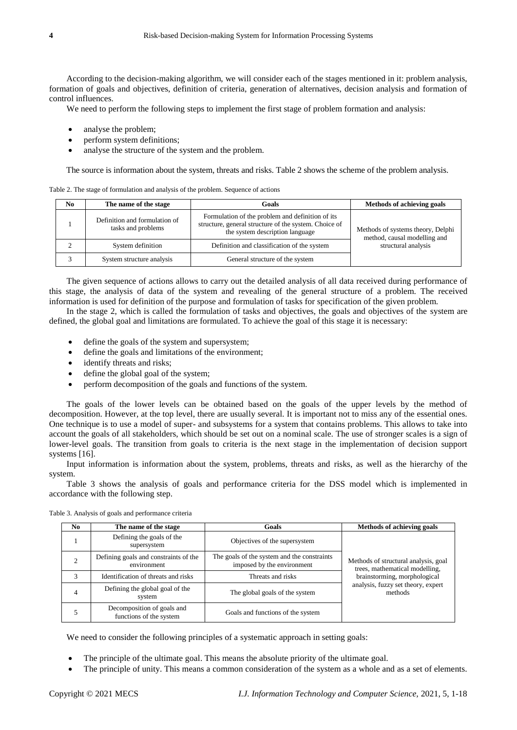According to the decision-making algorithm, we will consider each of the stages mentioned in it: problem analysis, formation of goals and objectives, definition of criteria, generation of alternatives, decision analysis and formation of control influences.

We need to perform the following steps to implement the first stage of problem formation and analysis:

- analyse the problem;
- perform system definitions;
- analyse the structure of the system and the problem.

The source is information about the system, threats and risks. Table 2 shows the scheme of the problem analysis.

Table 2. The stage of formulation and analysis of the problem. Sequence of actions

| No | The name of the stage                               | Goals                                                                                                                                        | <b>Methods of achieving goals</b>                                 |
|----|-----------------------------------------------------|----------------------------------------------------------------------------------------------------------------------------------------------|-------------------------------------------------------------------|
|    | Definition and formulation of<br>tasks and problems | Formulation of the problem and definition of its<br>structure, general structure of the system. Choice of<br>the system description language | Methods of systems theory, Delphi<br>method, causal modelling and |
|    | System definition                                   | Definition and classification of the system                                                                                                  | structural analysis                                               |
|    | System structure analysis                           | General structure of the system                                                                                                              |                                                                   |

The given sequence of actions allows to carry out the detailed analysis of all data received during performance of this stage, the analysis of data of the system and revealing of the general structure of a problem. The received information is used for definition of the purpose and formulation of tasks for specification of the given problem.

In the stage 2, which is called the formulation of tasks and objectives, the goals and objectives of the system are defined, the global goal and limitations are formulated. To achieve the goal of this stage it is necessary:

- define the goals of the system and supersystem;
- define the goals and limitations of the environment;
- identify threats and risks;
- define the global goal of the system;
- perform decomposition of the goals and functions of the system.

The goals of the lower levels can be obtained based on the goals of the upper levels by the method of decomposition. However, at the top level, there are usually several. It is important not to miss any of the essential ones. One technique is to use a model of super- and subsystems for a system that contains problems. This allows to take into account the goals of all stakeholders, which should be set out on a nominal scale. The use of stronger scales is a sign of lower-level goals. The transition from goals to criteria is the next stage in the implementation of decision support systems [16].

Input information is information about the system, problems, threats and risks, as well as the hierarchy of the system.

Table 3 shows the analysis of goals and performance criteria for the DSS model which is implemented in accordance with the following step.

| N <sub>0</sub> | The name of the stage                                                                                                             | Goals                             | Methods of achieving goals                                             |
|----------------|-----------------------------------------------------------------------------------------------------------------------------------|-----------------------------------|------------------------------------------------------------------------|
|                | Defining the goals of the<br>supersystem                                                                                          | Objectives of the supersystem     |                                                                        |
|                | The goals of the system and the constraints<br>Defining goals and constraints of the<br>imposed by the environment<br>environment |                                   | Methods of structural analysis, goal<br>trees, mathematical modelling, |
| ς              | Identification of threats and risks                                                                                               | Threats and risks                 | brainstorming, morphological                                           |
|                | Defining the global goal of the<br>system                                                                                         | The global goals of the system    | analysis, fuzzy set theory, expert<br>methods                          |
|                | Decomposition of goals and<br>functions of the system                                                                             | Goals and functions of the system |                                                                        |

Table 3. Analysis of goals and performance criteria

We need to consider the following principles of a systematic approach in setting goals:

- The principle of the ultimate goal. This means the absolute priority of the ultimate goal.
- The principle of unity. This means a common consideration of the system as a whole and as a set of elements.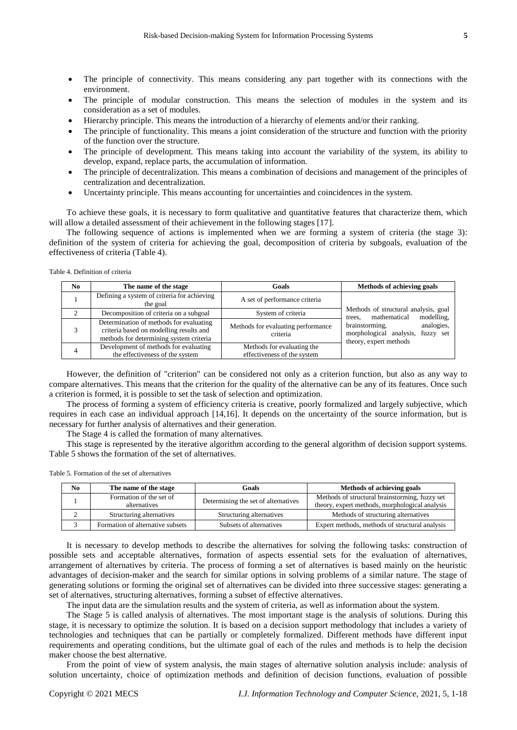- The principle of connectivity. This means considering any part together with its connections with the environment.
- The principle of modular construction. This means the selection of modules in the system and its consideration as a set of modules.
- Hierarchy principle. This means the introduction of a hierarchy of elements and/or their ranking.
- The principle of functionality. This means a joint consideration of the structure and function with the priority of the function over the structure.
- The principle of development. This means taking into account the variability of the system, its ability to develop, expand, replace parts, the accumulation of information.
- The principle of decentralization. This means a combination of decisions and management of the principles of centralization and decentralization.
- Uncertainty principle. This means accounting for uncertainties and coincidences in the system.

To achieve these goals, it is necessary to form qualitative and quantitative features that characterize them, which will allow a detailed assessment of their achievement in the following stages [17].

The following sequence of actions is implemented when we are forming a system of criteria (the stage 3): definition of the system of criteria for achieving the goal, decomposition of criteria by subgoals, evaluation of the effectiveness of criteria (Table 4).

Table 4. Definition of criteria

| No. | The name of the stage                                                                                                         | Goals                                                     | Methods of achieving goals                                                                     |
|-----|-------------------------------------------------------------------------------------------------------------------------------|-----------------------------------------------------------|------------------------------------------------------------------------------------------------|
|     | Defining a system of criteria for achieving<br>the goal                                                                       | A set of performance criteria                             |                                                                                                |
| ◠   | Decomposition of criteria on a subgoal                                                                                        | System of criteria                                        | Methods of structural analysis, goal<br>mathematical<br>modelling,<br>trees.                   |
|     | Determination of methods for evaluating<br>criteria based on modelling results and<br>methods for determining system criteria | Methods for evaluating performance<br>criteria            | brainstorming,<br>analogies,<br>morphological analysis,<br>fuzzy set<br>theory, expert methods |
|     | Development of methods for evaluating<br>the effectiveness of the system                                                      | Methods for evaluating the<br>effectiveness of the system |                                                                                                |

However, the definition of "criterion" can be considered not only as a criterion function, but also as any way to compare alternatives. This means that the criterion for the quality of the alternative can be any of its features. Once such a criterion is formed, it is possible to set the task of selection and optimization.

The process of forming a system of efficiency criteria is creative, poorly formalized and largely subjective, which requires in each case an individual approach [14,16]. It depends on the uncertainty of the source information, but is necessary for further analysis of alternatives and their generation.

The Stage 4 is called the formation of many alternatives.

This stage is represented by the iterative algorithm according to the general algorithm of decision support systems. Table 5 shows the formation of the set of alternatives.

| Table 5. Formation of the set of alternatives |
|-----------------------------------------------|
|-----------------------------------------------|

| No | The name of the stage                   | Goals                               | Methods of achieving goals                                                                       |
|----|-----------------------------------------|-------------------------------------|--------------------------------------------------------------------------------------------------|
|    | Formation of the set of<br>alternatives | Determining the set of alternatives | Methods of structural brainstorming, fuzzy set<br>theory, expert methods, morphological analysis |
|    | Structuring alternatives                | Structuring alternatives            | Methods of structuring alternatives                                                              |
|    | Formation of alternative subsets        | Subsets of alternatives             | Expert methods, methods of structural analysis                                                   |

It is necessary to develop methods to describe the alternatives for solving the following tasks: construction of possible sets and acceptable alternatives, formation of aspects essential sets for the evaluation of alternatives, arrangement of alternatives by criteria. The process of forming a set of alternatives is based mainly on the heuristic advantages of decision-maker and the search for similar options in solving problems of a similar nature. The stage of generating solutions or forming the original set of alternatives can be divided into three successive stages: generating a set of alternatives, structuring alternatives, forming a subset of effective alternatives.

The input data are the simulation results and the system of criteria, as well as information about the system.

The Stage 5 is called analysis of alternatives. The most important stage is the analysis of solutions. During this stage, it is necessary to optimize the solution. It is based on a decision support methodology that includes a variety of technologies and techniques that can be partially or completely formalized. Different methods have different input requirements and operating conditions, but the ultimate goal of each of the rules and methods is to help the decision maker choose the best alternative.

From the point of view of system analysis, the main stages of alternative solution analysis include: analysis of solution uncertainty, choice of optimization methods and definition of decision functions, evaluation of possible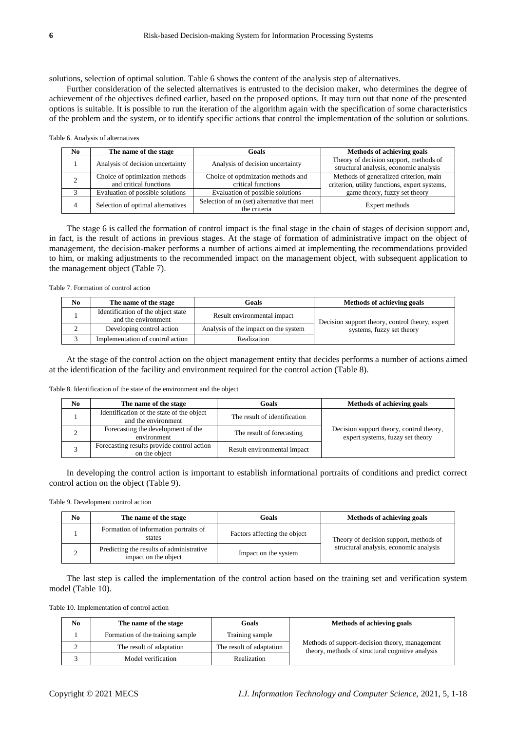solutions, selection of optimal solution. Table 6 shows the content of the analysis step of alternatives.

Further consideration of the selected alternatives is entrusted to the decision maker, who determines the degree of achievement of the objectives defined earlier, based on the proposed options. It may turn out that none of the presented options is suitable. It is possible to run the iteration of the algorithm again with the specification of some characteristics of the problem and the system, or to identify specific actions that control the implementation of the solution or solutions.

Table 6. Analysis of alternatives

| No. | The name of the stage             | Goals                                       | Methods of achieving goals                    |
|-----|-----------------------------------|---------------------------------------------|-----------------------------------------------|
|     | Analysis of decision uncertainty  | Analysis of decision uncertainty            | Theory of decision support, methods of        |
|     |                                   |                                             | structural analysis, economic analysis        |
|     | Choice of optimization methods    | Choice of optimization methods and          | Methods of generalized criterion, main        |
|     | and critical functions            | critical functions                          | criterion, utility functions, expert systems, |
|     | Evaluation of possible solutions  | Evaluation of possible solutions            | game theory, fuzzy set theory                 |
|     | Selection of optimal alternatives | Selection of an (set) alternative that meet | Expert methods                                |
|     |                                   | the criteria                                |                                               |

The stage 6 is called the formation of control impact is the final stage in the chain of stages of decision support and, in fact, is the result of actions in previous stages. At the stage of formation of administrative impact on the object of management, the decision-maker performs a number of actions aimed at implementing the recommendations provided to him, or making adjustments to the recommended impact on the management object, with subsequent application to the management object (Table 7).

Table 7. Formation of control action

| No | The name of the stage                                     | Goals                                | Methods of achieving goals                      |
|----|-----------------------------------------------------------|--------------------------------------|-------------------------------------------------|
|    | Identification of the object state<br>and the environment | Result environmental impact          | Decision support theory, control theory, expert |
|    | Developing control action                                 | Analysis of the impact on the system | systems, fuzzy set theory                       |
|    | Implementation of control action                          | Realization                          |                                                 |

At the stage of the control action on the object management entity that decides performs a number of actions aimed at the identification of the facility and environment required for the control action (Table 8).

Table 8. Identification of the state of the environment and the object

| No | The name of the stage                                            | Goals                        | Methods of achieving goals                                                   |
|----|------------------------------------------------------------------|------------------------------|------------------------------------------------------------------------------|
|    | Identification of the state of the object<br>and the environment | The result of identification |                                                                              |
|    | Forecasting the development of the<br>environment                | The result of forecasting    | Decision support theory, control theory,<br>expert systems, fuzzy set theory |
|    | Forecasting results provide control action<br>on the object      | Result environmental impact  |                                                                              |

In developing the control action is important to establish informational portraits of conditions and predict correct control action on the object (Table 9).

Table 9. Development control action

| No | The name of the stage                                            | Goals                        | Methods of achieving goals             |
|----|------------------------------------------------------------------|------------------------------|----------------------------------------|
|    | Formation of information portraits of<br>states                  | Factors affecting the object | Theory of decision support, methods of |
|    | Predicting the results of administrative<br>impact on the object | Impact on the system         | structural analysis, economic analysis |

The last step is called the implementation of the control action based on the training set and verification system model (Table 10).

Table 10. Implementation of control action

| No | The name of the stage            | Goals                    | Methods of achieving goals                                                                         |
|----|----------------------------------|--------------------------|----------------------------------------------------------------------------------------------------|
|    | Formation of the training sample | Training sample          |                                                                                                    |
| ∸  | The result of adaptation         | The result of adaptation | Methods of support-decision theory, management<br>theory, methods of structural cognitive analysis |
|    | Model verification               | Realization              |                                                                                                    |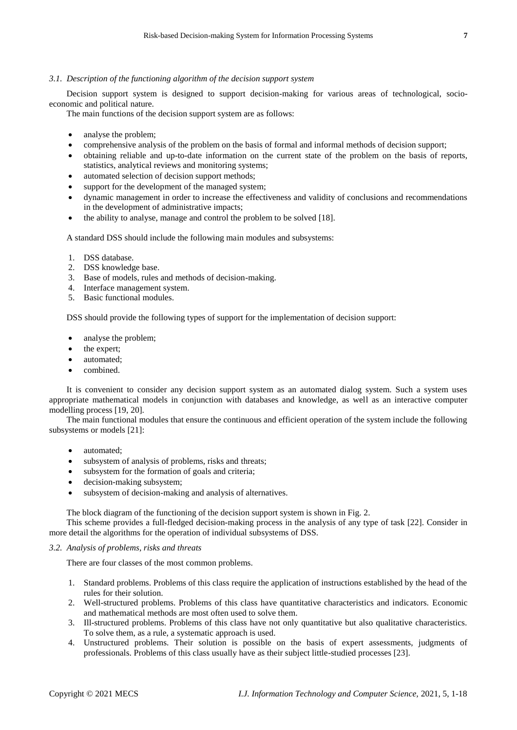## *3.1. Description of the functioning algorithm of the decision support system*

Decision support system is designed to support decision-making for various areas of technological, socioeconomic and political nature.

The main functions of the decision support system are as follows:

- analyse the problem;
- comprehensive analysis of the problem on the basis of formal and informal methods of decision support;
- obtaining reliable and up-to-date information on the current state of the problem on the basis of reports, statistics, analytical reviews and monitoring systems;
- automated selection of decision support methods;
- support for the development of the managed system;
- dynamic management in order to increase the effectiveness and validity of conclusions and recommendations in the development of administrative impacts;
- the ability to analyse, manage and control the problem to be solved [18].

A standard DSS should include the following main modules and subsystems:

- 1. DSS database.
- 2. DSS knowledge base.
- 3. Base of models, rules and methods of decision-making.
- 4. Interface management system.
- 5. Basic functional modules.

DSS should provide the following types of support for the implementation of decision support:

- analyse the problem;
- the expert;
- automated;
- combined.

It is convenient to consider any decision support system as an automated dialog system. Such a system uses appropriate mathematical models in conjunction with databases and knowledge, as well as an interactive computer modelling process [19, 20].

The main functional modules that ensure the continuous and efficient operation of the system include the following subsystems or models [21]:

- automated;
- subsystem of analysis of problems, risks and threats;
- subsystem for the formation of goals and criteria;
- decision-making subsystem;
- subsystem of decision-making and analysis of alternatives.

The block diagram of the functioning of the decision support system is shown in Fig. 2.

This scheme provides a full-fledged decision-making process in the analysis of any type of task [22]. Consider in more detail the algorithms for the operation of individual subsystems of DSS.

#### *3.2. Analysis of problems, risks and threats*

There are four classes of the most common problems.

- 1. Standard problems. Problems of this class require the application of instructions established by the head of the rules for their solution.
- 2. Well-structured problems. Problems of this class have quantitative characteristics and indicators. Economic and mathematical methods are most often used to solve them.
- 3. Ill-structured problems. Problems of this class have not only quantitative but also qualitative characteristics. To solve them, as a rule, a systematic approach is used.
- 4. Unstructured problems. Their solution is possible on the basis of expert assessments, judgments of professionals. Problems of this class usually have as their subject little-studied processes [23].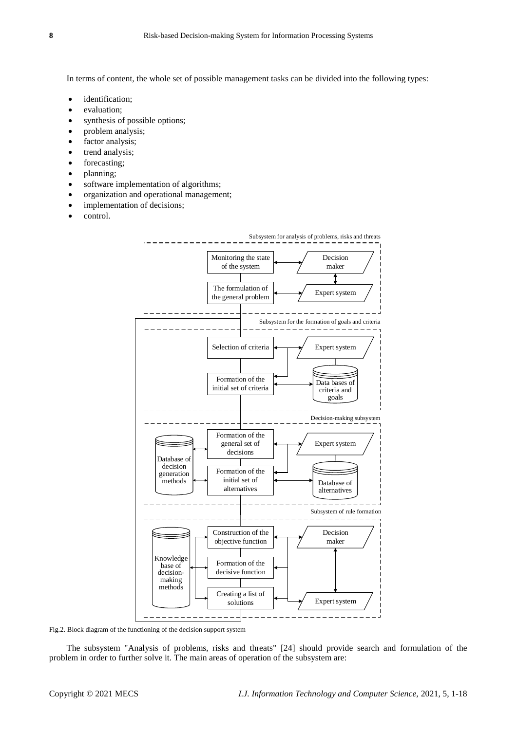In terms of content, the whole set of possible management tasks can be divided into the following types:

- identification;
- evaluation;
- synthesis of possible options;
- problem analysis;
- factor analysis;
- trend analysis;
- forecasting;
- planning;
- software implementation of algorithms;
- organization and operational management;
- implementation of decisions;
- control.



Fig.2. Block diagram of the functioning of the decision support system

The subsystem "Analysis of problems, risks and threats" [24] should provide search and formulation of the problem in order to further solve it. The main areas of operation of the subsystem are: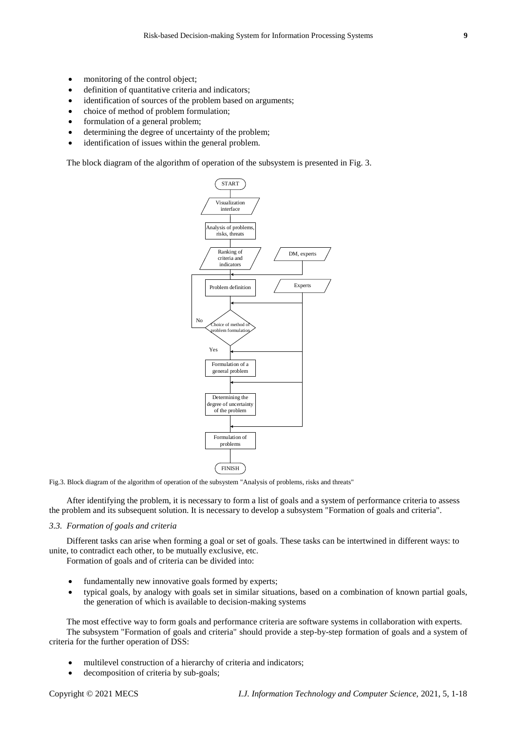- monitoring of the control object;
- definition of quantitative criteria and indicators;
- identification of sources of the problem based on arguments;
- choice of method of problem formulation;
- formulation of a general problem;
- determining the degree of uncertainty of the problem;
- identification of issues within the general problem.

The block diagram of the algorithm of operation of the subsystem is presented in Fig. 3.



Fig.3. Block diagram of the algorithm of operation of the subsystem "Analysis of problems, risks and threats"

After identifying the problem, it is necessary to form a list of goals and a system of performance criteria to assess the problem and its subsequent solution. It is necessary to develop a subsystem "Formation of goals and criteria".

## *3.3. Formation of goals and criteria*

Different tasks can arise when forming a goal or set of goals. These tasks can be intertwined in different ways: to unite, to contradict each other, to be mutually exclusive, etc.

Formation of goals and of criteria can be divided into:

- fundamentally new innovative goals formed by experts;
- typical goals, by analogy with goals set in similar situations, based on a combination of known partial goals, the generation of which is available to decision-making systems

The most effective way to form goals and performance criteria are software systems in collaboration with experts. The subsystem "Formation of goals and criteria" should provide a step-by-step formation of goals and a system of criteria for the further operation of DSS:

- multilevel construction of a hierarchy of criteria and indicators;
- decomposition of criteria by sub-goals;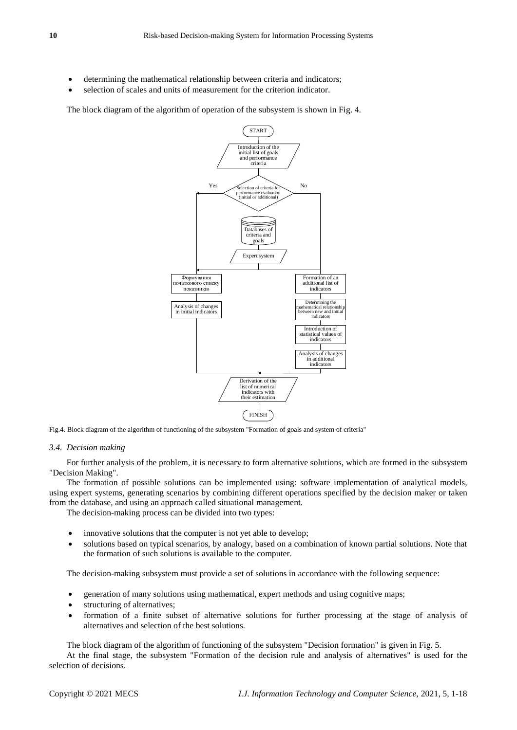- determining the mathematical relationship between criteria and indicators;
- selection of scales and units of measurement for the criterion indicator.

The block diagram of the algorithm of operation of the subsystem is shown in Fig. 4.



Fig.4. Block diagram of the algorithm of functioning of the subsystem "Formation of goals and system of criteria"

#### *3.4. Decision making*

For further analysis of the problem, it is necessary to form alternative solutions, which are formed in the subsystem "Decision Making".

The formation of possible solutions can be implemented using: software implementation of analytical models, using expert systems, generating scenarios by combining different operations specified by the decision maker or taken from the database, and using an approach called situational management.

The decision-making process can be divided into two types:

- innovative solutions that the computer is not yet able to develop;
- solutions based on typical scenarios, by analogy, based on a combination of known partial solutions. Note that the formation of such solutions is available to the computer.

The decision-making subsystem must provide a set of solutions in accordance with the following sequence:

- generation of many solutions using mathematical, expert methods and using cognitive maps;
- structuring of alternatives;
- formation of a finite subset of alternative solutions for further processing at the stage of analysis of alternatives and selection of the best solutions.

The block diagram of the algorithm of functioning of the subsystem "Decision formation" is given in Fig. 5.

At the final stage, the subsystem "Formation of the decision rule and analysis of alternatives" is used for the selection of decisions.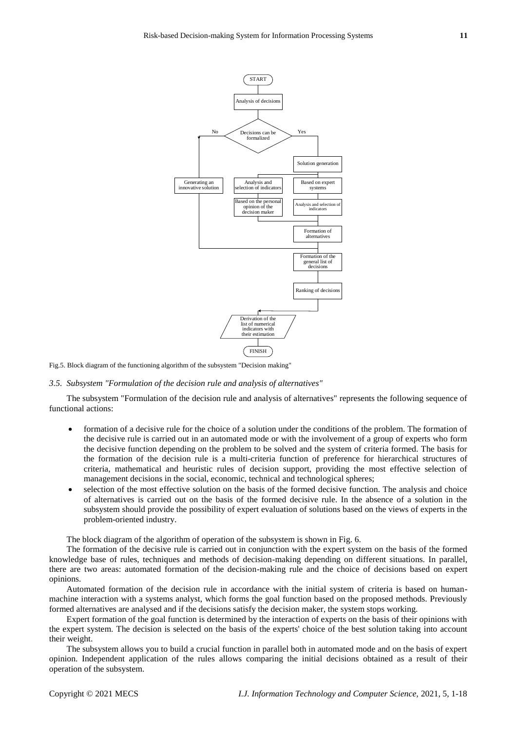

Fig.5. Block diagram of the functioning algorithm of the subsystem "Decision making"

## *3.5. Subsystem "Formulation of the decision rule and analysis of alternatives"*

The subsystem "Formulation of the decision rule and analysis of alternatives" represents the following sequence of functional actions:

- formation of a decisive rule for the choice of a solution under the conditions of the problem. The formation of the decisive rule is carried out in an automated mode or with the involvement of a group of experts who form the decisive function depending on the problem to be solved and the system of criteria formed. The basis for the formation of the decision rule is a multi-criteria function of preference for hierarchical structures of criteria, mathematical and heuristic rules of decision support, providing the most effective selection of management decisions in the social, economic, technical and technological spheres;
- selection of the most effective solution on the basis of the formed decisive function. The analysis and choice of alternatives is carried out on the basis of the formed decisive rule. In the absence of a solution in the subsystem should provide the possibility of expert evaluation of solutions based on the views of experts in the problem-oriented industry.

The block diagram of the algorithm of operation of the subsystem is shown in Fig. 6.

The formation of the decisive rule is carried out in conjunction with the expert system on the basis of the formed knowledge base of rules, techniques and methods of decision-making depending on different situations. In parallel, there are two areas: automated formation of the decision-making rule and the choice of decisions based on expert opinions.

Automated formation of the decision rule in accordance with the initial system of criteria is based on humanmachine interaction with a systems analyst, which forms the goal function based on the proposed methods. Previously formed alternatives are analysed and if the decisions satisfy the decision maker, the system stops working.

Expert formation of the goal function is determined by the interaction of experts on the basis of their opinions with the expert system. The decision is selected on the basis of the experts' choice of the best solution taking into account their weight.

The subsystem allows you to build a crucial function in parallel both in automated mode and on the basis of expert opinion. Independent application of the rules allows comparing the initial decisions obtained as a result of their operation of the subsystem.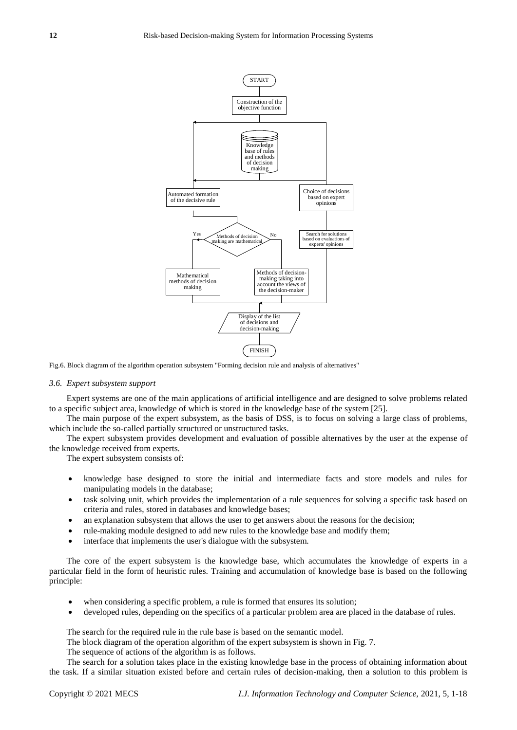

Fig.6. Block diagram of the algorithm operation subsystem "Forming decision rule and analysis of alternatives"

#### *3.6. Expert subsystem support*

Expert systems are one of the main applications of artificial intelligence and are designed to solve problems related to a specific subject area, knowledge of which is stored in the knowledge base of the system [25].

The main purpose of the expert subsystem, as the basis of DSS, is to focus on solving a large class of problems, which include the so-called partially structured or unstructured tasks.

The expert subsystem provides development and evaluation of possible alternatives by the user at the expense of the knowledge received from experts.

The expert subsystem consists of:

- knowledge base designed to store the initial and intermediate facts and store models and rules for manipulating models in the database;
- task solving unit, which provides the implementation of a rule sequences for solving a specific task based on criteria and rules, stored in databases and knowledge bases;
- an explanation subsystem that allows the user to get answers about the reasons for the decision;
- rule-making module designed to add new rules to the knowledge base and modify them;
- interface that implements the user's dialogue with the subsystem.

The core of the expert subsystem is the knowledge base, which accumulates the knowledge of experts in a particular field in the form of heuristic rules. Training and accumulation of knowledge base is based on the following principle:

- when considering a specific problem, a rule is formed that ensures its solution;
- developed rules, depending on the specifics of a particular problem area are placed in the database of rules.

The search for the required rule in the rule base is based on the semantic model.

The block diagram of the operation algorithm of the expert subsystem is shown in Fig. 7.

The sequence of actions of the algorithm is as follows.

The search for a solution takes place in the existing knowledge base in the process of obtaining information about the task. If a similar situation existed before and certain rules of decision-making, then a solution to this problem is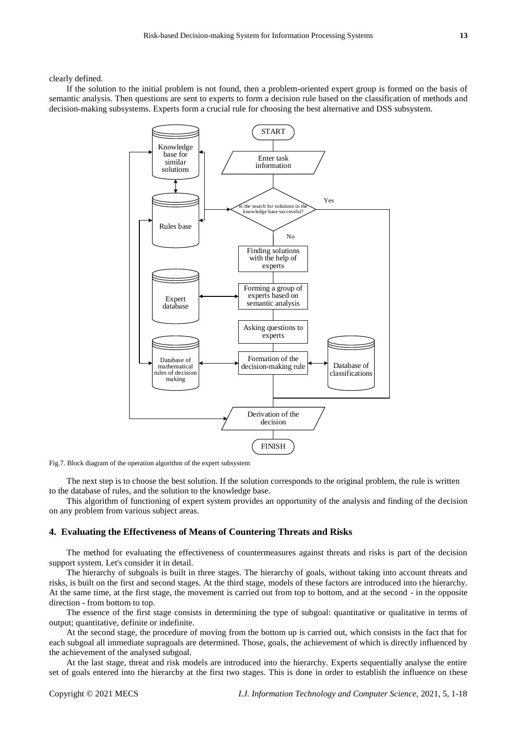If the solution to the initial problem is not found, then a problem-oriented expert group is formed on the basis of semantic analysis. Then questions are sent to experts to form a decision rule based on the classification of methods and decision-making subsystems. Experts form a crucial rule for choosing the best alternative and DSS subsystem.



Fig.7. Block diagram of the operation algorithm of the expert subsystem

The next step is to choose the best solution. If the solution corresponds to the original problem, the rule is written to the database of rules, and the solution to the knowledge base.

This algorithm of functioning of expert system provides an opportunity of the analysis and finding of the decision on any problem from various subject areas.

## **4. Evaluating the Effectiveness of Means of Countering Threats and Risks**

The method for evaluating the effectiveness of countermeasures against threats and risks is part of the decision support system. Let's consider it in detail.

The hierarchy of subgoals is built in three stages. The hierarchy of goals, without taking into account threats and risks, is built on the first and second stages. At the third stage, models of these factors are introduced into the hierarchy. At the same time, at the first stage, the movement is carried out from top to bottom, and at the second - in the opposite direction - from bottom to top.

The essence of the first stage consists in determining the type of subgoal: quantitative or qualitative in terms of output; quantitative, definite or indefinite.

At the second stage, the procedure of moving from the bottom up is carried out, which consists in the fact that for each subgoal all immediate supragoals are determined. Those, goals, the achievement of which is directly influenced by the achievement of the analysed subgoal.

At the last stage, threat and risk models are introduced into the hierarchy. Experts sequentially analyse the entire set of goals entered into the hierarchy at the first two stages. This is done in order to establish the influence on these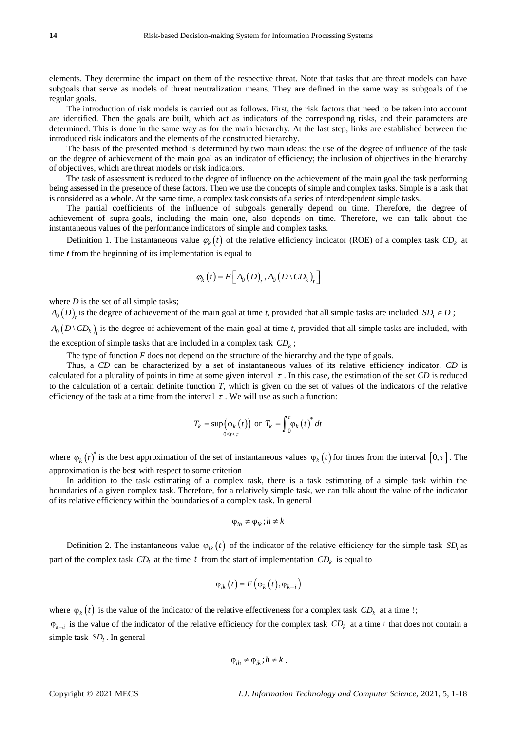elements. They determine the impact on them of the respective threat. Note that tasks that are threat models can have subgoals that serve as models of threat neutralization means. They are defined in the same way as subgoals of the regular goals.

The introduction of risk models is carried out as follows. First, the risk factors that need to be taken into account are identified. Then the goals are built, which act as indicators of the corresponding risks, and their parameters are determined. This is done in the same way as for the main hierarchy. At the last step, links are established between the introduced risk indicators and the elements of the constructed hierarchy.

The basis of the presented method is determined by two main ideas: the use of the degree of influence of the task on the degree of achievement of the main goal as an indicator of efficiency; the inclusion of objectives in the hierarchy of objectives, which are threat models or risk indicators.

The task of assessment is reduced to the degree of influence on the achievement of the main goal the task performing being assessed in the presence of these factors. Then we use the concepts of simple and complex tasks. Simple is a task that is considered as a whole. At the same time, a complex task consists of a series of interdependent simple tasks.

The partial coefficients of the influence of subgoals generally depend on time. Therefore, the degree of achievement of supra-goals, including the main one, also depends on time. Therefore, we can talk about the instantaneous values of the performance indicators of simple and complex tasks.

Definition 1. The instantaneous value  $\varphi_k(t)$  of the relative efficiency indicator (ROE) of a complex task  $CD_k$  at time *t* from the beginning of its implementation is equal to

$$
\varphi_k(t) = F\Big[A_0(D), A_0(D \setminus CD_k)\Big]
$$

where *D* is the set of all simple tasks;

 $A_0(D)_t$  is the degree of achievement of the main goal at time *t*, provided that all simple tasks are included  $SD_i \in D$ ;  $A_0 \left( D \setminus CD_k \right)_t$  is the degree of achievement of the main goal at time *t*, provided that all simple tasks are included, with the exception of simple tasks that are included in a complex task  $CD_k$ ;

The type of function *F* does not depend on the structure of the hierarchy and the type of goals.

Thus, a *CD* can be characterized by a set of instantaneous values of its relative efficiency indicator. *CD* is calculated for a plurality of points in time at some given interval  $\tau$ . In this case, the estimation of the set *CD* is reduced to the calculation of a certain definite function *T*, which is given on the set of values of the indicators of the relative efficiency of the task at a time from the interval  $\tau$ . We will use as such a function:

$$
T_k = \sup_{0 \le t \le \tau} (\varphi_k(t)) \text{ or } T_k = \int_0^{\tau} \varphi_k(t)^* dt
$$

where  $\varphi_k(t)^*$  is the best approximation of the set of instantaneous values  $\varphi_k(t)$  for times from the interval  $[0, \tau]$ . The approximation is the best with respect to some criterion

In addition to the task estimating of a complex task, there is a task estimating of a simple task within the boundaries of a given complex task. Therefore, for a relatively simple task, we can talk about the value of the indicator of its relative efficiency within the boundaries of a complex task. In general

$$
\varphi_{ih} \neq \varphi_{ik}; h \neq k
$$

Definition 2. The instantaneous value  $\varphi_{ik}(t)$  of the indicator of the relative efficiency for the simple task  $SD_i$  as part of the complex task  $CD_i$  at the time t from the start of implementation  $CD_k$  is equal to

$$
\varphi_{ik}(t) = F\big(\varphi_k\big(t\big), \varphi_{k-i}\big)
$$

where  $\varphi_k(t)$  is the value of the indicator of the relative effectiveness for a complex task  $CD_k$  at a time t;  $\varphi_{k-i}$  is the value of the indicator of the relative efficiency for the complex task  $CD_k$  at a time t that does not contain a simple task  $SD<sub>i</sub>$ . In general

$$
\varphi_{ih} \neq \varphi_{ik}; h \neq k.
$$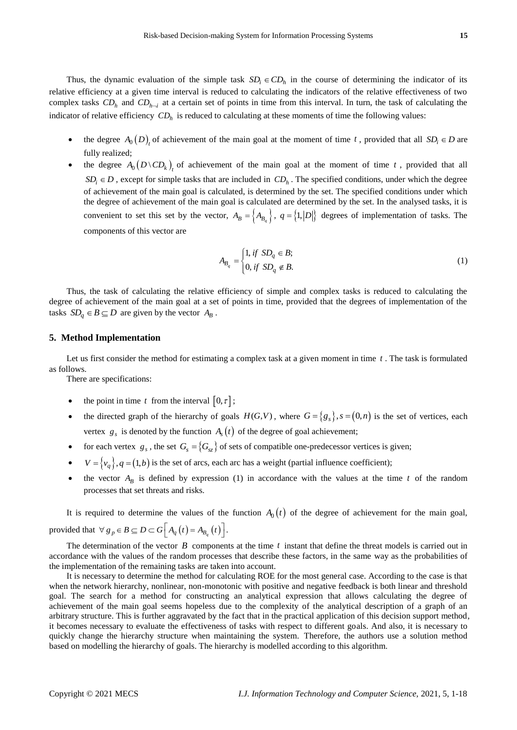Thus, the dynamic evaluation of the simple task  $SD_i \in CD_h$  in the course of determining the indicator of its relative efficiency at a given time interval is reduced to calculating the indicators of the relative effectiveness of two complex tasks  $CD_h$  and  $CD_{h-i}$  at a certain set of points in time from this interval. In turn, the task of calculating the indicator of relative efficiency *CD<sup>h</sup>* is reduced to calculating at these moments of time the following values:

- the degree  $A_0(D)$  of achievement of the main goal at the moment of time t, provided that all  $SD_i \in D$  are fully realized;
- the degree  $A_0(D \setminus CD_k)$  of achievement of the main goal at the moment of time t, provided that all  $SD_i \in D$ , except for simple tasks that are included in  $CD_h$ . The specified conditions, under which the degree of achievement of the main goal is calculated, is determined by the set. The specified conditions under which the degree of achievement of the main goal is calculated are determined by the set. In the analysed tasks, it is convenient to set this set by the vector,  $A_B = \{A_{B_q}\}\$ ,  $q = \{1, |D|\}$  degrees of implementation of tasks. The components of this vector are

$$
A_{B_q} = \begin{cases} 1, & \text{if } SD_q \in B; \\ 0, & \text{if } SD_q \notin B. \end{cases} \tag{1}
$$

Thus, the task of calculating the relative efficiency of simple and complex tasks is reduced to calculating the degree of achievement of the main goal at a set of points in time, provided that the degrees of implementation of the tasks  $SD_q \in B \subseteq D$  are given by the vector  $A_B$ .

## **5. Method Implementation**

Let us first consider the method for estimating a complex task at a given moment in time  $t$ . The task is formulated as follows.

There are specifications:

- the point in time t from the interval  $[0, \tau]$ ;
- the directed graph of the hierarchy of goals  $H(G, V)$ , where  $G = \{g_s\}$ ,  $s = (0, n)$  is the set of vertices, each vertex  $g_s$  is denoted by the function  $A_s(t)$  of the degree of goal achievement;
- for each vertex  $g_s$ , the set  $G_s = \{G_{s\bar{s}}\}$  of sets of compatible one-predecessor vertices is given;
- $V = \{v_q\}, q = (1, b)$  is the set of arcs, each arc has a weight (partial influence coefficient);
- the vector  $A_B$  is defined by expression (1) in accordance with the values at the time t of the random processes that set threats and risks.

It is required to determine the values of the function  $A_0(t)$  of the degree of achievement for the main goal, provided that  $\forall g_p \in B \subseteq D \subset G\left[A_q(t) = A_{B_q}(t)\right]$ .

The determination of the vector  $B$  components at the time  $t$  instant that define the threat models is carried out in accordance with the values of the random processes that describe these factors, in the same way as the probabilities of the implementation of the remaining tasks are taken into account.

It is necessary to determine the method for calculating ROE for the most general case. According to the case is that when the network hierarchy, nonlinear, non-monotonic with positive and negative feedback is both linear and threshold goal. The search for a method for constructing an analytical expression that allows calculating the degree of achievement of the main goal seems hopeless due to the complexity of the analytical description of a graph of an arbitrary structure. This is further aggravated by the fact that in the practical application of this decision support method, it becomes necessary to evaluate the effectiveness of tasks with respect to different goals. And also, it is necessary to quickly change the hierarchy structure when maintaining the system. Therefore, the authors use a solution method based on modelling the hierarchy of goals. The hierarchy is modelled according to this algorithm.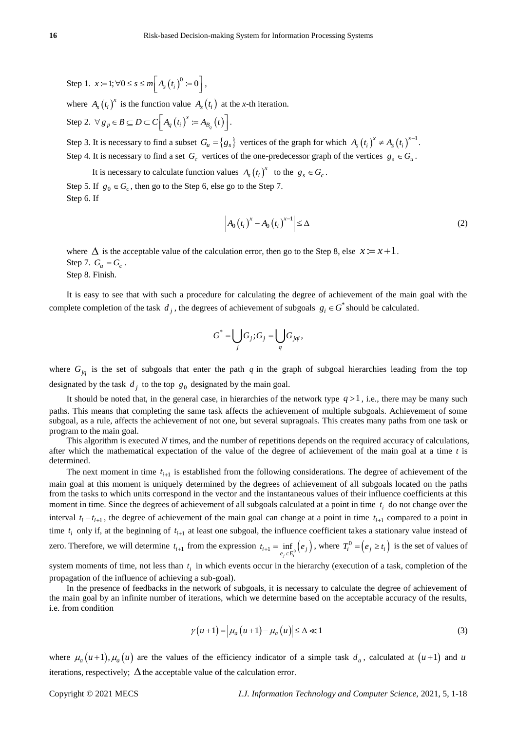Step 1. 
$$
x := 1; \forall 0 \le s \le m \bigg[ A_s(t_i)^0 := 0 \bigg],
$$

where  $A_s(t_i)$ <sup>x</sup> is the function value  $A_s(t_i)$  at the *x*-th iteration.

Step 2.  $\forall g_p \in B \subseteq D \subset C \mid A_q(t_i)^{\lambda} := A_{B_q}(t)$ *x*  $\nabla g_p \in B \subseteq D \subset C\left[A_q(t_i)^x := A_{B_q}(t)\right].$ 

Step 3. It is necessary to find a subset  $G_u = \{g_s\}$  vertices of the graph for which  $A_s(t_i)^x \neq A_s(t_i)^{x-1}$ . Step 4. It is necessary to find a set  $G_c$  vertices of the one-predecessor graph of the vertices  $g_s \in G_u$ .

It is necessary to calculate function values  $A_s(t_i)^x$  to the  $g_s \in G_c$ .

Step 5. If  $g_0 \in G_c$ , then go to the Step 6, else go to the Step 7. Step 6. If

$$
\left| A_0(t_i)^x - A_0(t_i)^{x-1} \right| \le \Delta \tag{2}
$$

where  $\Delta$  is the acceptable value of the calculation error, then go to the Step 8, else  $x := x + 1$ . Step 7.  $G_u = G_c$ . Step 8. Finish.

It is easy to see that with such a procedure for calculating the degree of achievement of the main goal with the complete completion of the task  $d_j$ , the degrees of achievement of subgoals  $g_i \in G^*$  should be calculated.

$$
G^* = \bigcup_j G_j; G_j = \bigcup_q G_{jqi},
$$

where  $G_{jq}$  is the set of subgoals that enter the path q in the graph of subgoal hierarchies leading from the top designated by the task  $d_j$  to the top  $g_0$  designated by the main goal.

It should be noted that, in the general case, in hierarchies of the network type  $q > 1$ , i.e., there may be many such paths. This means that completing the same task affects the achievement of multiple subgoals. Achievement of some subgoal, as a rule, affects the achievement of not one, but several supragoals. This creates many paths from one task or program to the main goal.

This algorithm is executed *N* times, and the number of repetitions depends on the required accuracy of calculations, after which the mathematical expectation of the value of the degree of achievement of the main goal at a time *t* is determined.

The next moment in time  $t_{i+1}$  is established from the following considerations. The degree of achievement of the main goal at this moment is uniquely determined by the degrees of achievement of all subgoals located on the paths from the tasks to which units correspond in the vector and the instantaneous values of their influence coefficients at this moment in time. Since the degrees of achievement of all subgoals calculated at a point in time  $t_i$  do not change over the interval  $t_i - t_{i+1}$ , the degree of achievement of the main goal can change at a point in time  $t_{i+1}$  compared to a point in time  $t_i$  only if, at the beginning of  $t_{i+1}$  at least one subgoal, the influence coefficient takes a stationary value instead of zero. Therefore, we will determine  $t_{i+1}$  from the expression  $t_{i+1} = \inf_{e \in \mathcal{F}^0} (e_i)$  $t_{i+1} = \inf_{e_j \in E_i^0} (e_j)$ , where  $T_i^0 = (e_j \ge t_i)$  is the set of values of

system moments of time, not less than  $t_i$  in which events occur in the hierarchy (execution of a task, completion of the propagation of the influence of achieving a sub-goal).

In the presence of feedbacks in the network of subgoals, it is necessary to calculate the degree of achievement of the main goal by an infinite number of iterations, which we determine based on the acceptable accuracy of the results, i.e. from condition

$$
\gamma(u+1) = \left| \mu_a(u+1) - \mu_a(u) \right| \le \Delta \ll 1 \tag{3}
$$

where  $\mu_a(u+1), \mu_a(u)$  are the values of the efficiency indicator of a simple task  $d_a$ , calculated at  $(u+1)$  and  $u$ iterations, respectively;  $\Delta$  the acceptable value of the calculation error.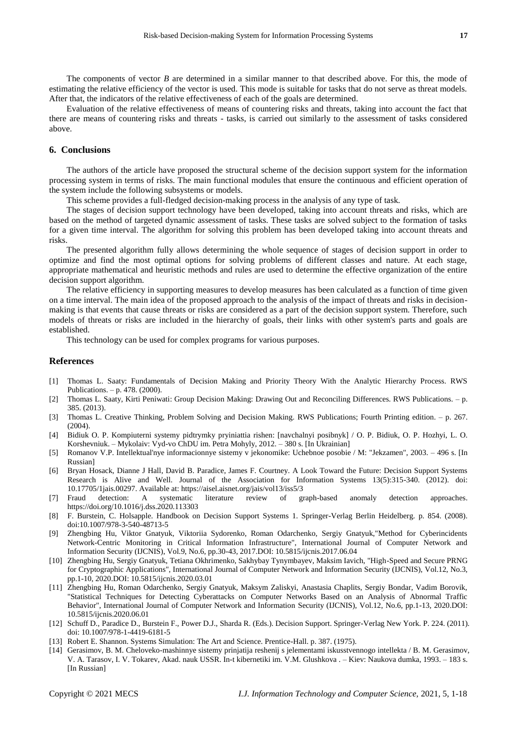The components of vector *B* are determined in a similar manner to that described above. For this, the mode of estimating the relative efficiency of the vector is used. This mode is suitable for tasks that do not serve as threat models. After that, the indicators of the relative effectiveness of each of the goals are determined.

Evaluation of the relative effectiveness of means of countering risks and threats, taking into account the fact that there are means of countering risks and threats - tasks, is carried out similarly to the assessment of tasks considered above.

# **6. Conclusions**

The authors of the article have proposed the structural scheme of the decision support system for the information processing system in terms of risks. The main functional modules that ensure the continuous and efficient operation of the system include the following subsystems or models.

This scheme provides a full-fledged decision-making process in the analysis of any type of task.

The stages of decision support technology have been developed, taking into account threats and risks, which are based on the method of targeted dynamic assessment of tasks. These tasks are solved subject to the formation of tasks for a given time interval. The algorithm for solving this problem has been developed taking into account threats and risks.

The presented algorithm fully allows determining the whole sequence of stages of decision support in order to optimize and find the most optimal options for solving problems of different classes and nature. At each stage, appropriate mathematical and heuristic methods and rules are used to determine the effective organization of the entire decision support algorithm.

The relative efficiency in supporting measures to develop measures has been calculated as a function of time given on a time interval. The main idea of the proposed approach to the analysis of the impact of threats and risks in decisionmaking is that events that cause threats or risks are considered as a part of the decision support system. Therefore, such models of threats or risks are included in the hierarchy of goals, their links with other system's parts and goals are established.

This technology can be used for complex programs for various purposes.

### **References**

- [1] Thomas L. Saaty: Fundamentals of Decision Making and Priority Theory With the Analytic Hierarchy Process. RWS Publications. – p. 478. (2000).
- [2] Thomas L. Saaty, Kirti Peniwati: Group Decision Making: Drawing Out and Reconciling Differences. RWS Publications. p. 385. (2013).
- [3] Thomas L. Creative Thinking, Problem Solving and Decision Making. RWS Publications; Fourth Printing edition. p. 267.  $(2004)$
- [4] Bidiuk O. P. Kompiuterni systemy pidtrymky pryiniattia rishen: [navchalnyi posibnyk] / O. P. Bidiuk, O. P. Hozhyi, L. O. Korshevniuk. – Mykolaiv: Vyd-vo ChDU im. Petra Mohyly, 2012. – 380 s. [In Ukrainian]
- [5] Romanov V.P. Intellektual'nye informacionnye sistemy v jekonomike: Uchebnoe posobie / M: "Jekzamen", 2003. 496 s. [In Russian]
- [6] Bryan Hosack, Dianne J Hall, David B. Paradice, James F. Courtney. A Look Toward the Future: Decision Support Systems Research is Alive and Well. Journal of the Association for Information Systems 13(5):315-340. (2012). doi: 10.17705/1jais.00297. Available at: https://aisel.aisnet.org/jais/vol13/iss5/3
- [7] Fraud detection: A systematic literature review of graph-based anomaly detection approaches. https://doi.org/10.1016/j.dss.2020.113303
- [8] F. Burstein, C. Holsapple. Handbook on Decision Support Systems 1. Springer-Verlag Berlin Heidelberg. p. 854. (2008). doi:10.1007/978-3-540-48713-5
- [9] Zhengbing Hu, Viktor Gnatyuk, Viktoriia Sydorenko, Roman Odarchenko, Sergiy Gnatyuk,"Method for Cyberincidents Network-Centric Monitoring in Critical Information Infrastructure", International Journal of Computer Network and Information Security (IJCNIS), Vol.9, No.6, pp.30-43, 2017.DOI: 10.5815/ijcnis.2017.06.04
- [10] Zhengbing Hu, Sergiy Gnatyuk, Tetiana Okhrimenko, Sakhybay Tynymbayev, Maksim Iavich, "High-Speed and Secure PRNG for Cryptographic Applications", International Journal of Computer Network and Information Security (IJCNIS), Vol.12, No.3, pp.1-10, 2020.DOI: 10.5815/ijcnis.2020.03.01
- [11] Zhengbing Hu, Roman Odarchenko, Sergiy Gnatyuk, Maksym Zaliskyi, Anastasia Chaplits, Sergiy Bondar, Vadim Borovik, "Statistical Techniques for Detecting Cyberattacks on Computer Networks Based on an Analysis of Abnormal Traffic Behavior", International Journal of Computer Network and Information Security (IJCNIS), Vol.12, No.6, pp.1-13, 2020.DOI: 10.5815/ijcnis.2020.06.01
- [12] Schuff D., Paradice D., Burstein F., Power D.J., Sharda R. (Eds.). Decision Support. Springer-Verlag New York. P. 224. (2011). doi: 10.1007/978-1-4419-6181-5
- [13] Robert E. Shannon. Systems Simulation: The Art and Science. Prentice-Hall. p. 387. (1975).
- [14] Gerasimov, B. M. Cheloveko-mashinnye sistemy prinjatija reshenij s jelementami iskusstvennogo intellekta / B. M. Gerasimov, V. A. Tarasov, I. V. Tokarev, Akad. nauk USSR. In-t kibernetiki im. V.M. Glushkova . – Kiev: Naukova dumka, 1993. – 183 s. [In Russian]